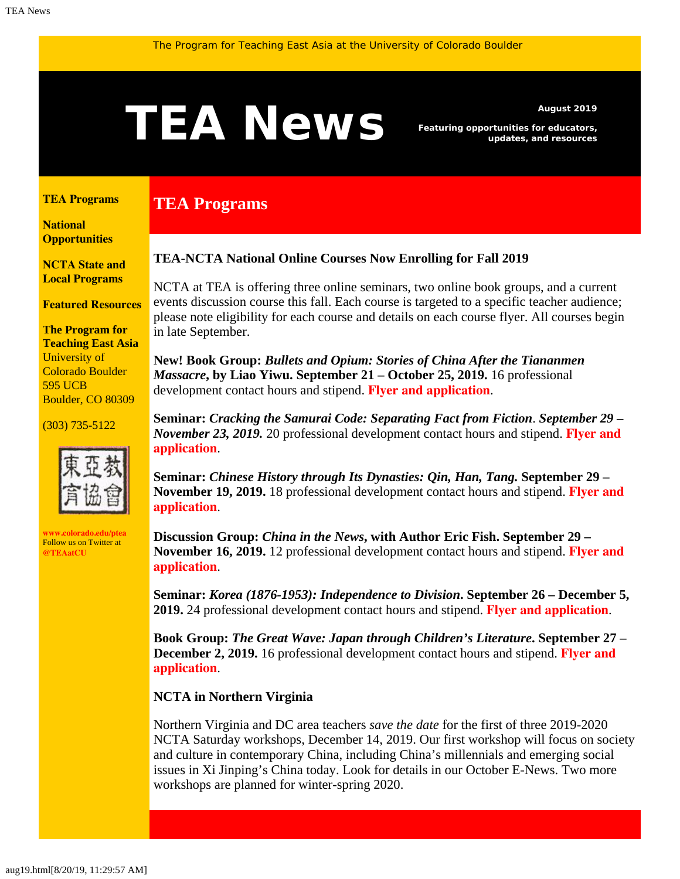# <span id="page-0-1"></span>ALCWS Featuring opportunities for educators,

**TEA Programs**

*Featuring opportunities for educators, updates, and resources*

#### <span id="page-0-0"></span>**[TEA Programs](#page-0-0)**

**[National](#page-0-1)  [Opportunities](#page-0-1)**

**[NCTA State and](#page-1-0) [Local Programs](#page-1-0)**

**[Featured Resources](#page-2-0)**

**The Program for Teaching East Asia** University of Colorado Boulder 595 UCB Boulder, CO 80309

(303) 735-5122



**[www.colorado.edu/ptea](http://www.colorado.edu/cas/tea)** Follow us on Twitter at **[@TEAatCU](https://twitter.com/TEAatCU)**

### **TEA-NCTA National Online Courses Now Enrolling for Fall 2019**

NCTA at TEA is offering three online seminars, two online book groups, and a current events discussion course this fall. Each course is targeted to a specific teacher audience; please note eligibility for each course and details on each course flyer. All courses begin in late September.

**New! Book Group:** *Bullets and Opium: Stories of China After the Tiananmen Massacre***, by Liao Yiwu. September 21 – October 25, 2019.** 16 professional development contact hours and stipend. **[Flyer and application](https://www.colorado.edu/ptea/sites/default/files/attached-files/bullets_and_opium_fall_2019.pdf)**.

**Seminar:** *Cracking the Samurai Code: Separating Fact from Fiction*. *September 29 – November 23, 2019.* 20 professional development contact hours and stipend. **[Flyer and](https://www.colorado.edu/ptea/sites/default/files/attached-files/samurai_flyer_fall2019.pdf) [application](https://www.colorado.edu/ptea/sites/default/files/attached-files/samurai_flyer_fall2019.pdf)**.

**Seminar:** *Chinese History through Its Dynasties: Qin, Han, Tang.* **September 29 – November 19, 2019.** 18 professional development contact hours and stipend. **[Flyer and](https://www.colorado.edu/ptea/sites/default/files/attached-files/chinadynasties_flyer_fall2019.pdf) [application](https://www.colorado.edu/ptea/sites/default/files/attached-files/chinadynasties_flyer_fall2019.pdf)**.

**Discussion Group:** *China in the News***, with Author Eric Fish. September 29 – November 16, 2019.** 12 professional development contact hours and stipend. **[Flyer and](https://www.colorado.edu/ptea/sites/default/files/attached-files/china_news_fall2019.pdf) [application](https://www.colorado.edu/ptea/sites/default/files/attached-files/china_news_fall2019.pdf)**.

**Seminar:** *Korea (1876-1953): Independence to Division***. September 26 – December 5, 2019.** 24 professional development contact hours and stipend. **[Flyer and application](https://www.colorado.edu/ptea/sites/default/files/attached-files/2019koreacourseflyerf.pdf)**.

**Book Group:** *The Great Wave: Japan through Children's Literature***. September 27 – December 2, 2019.** 16 professional development contact hours and stipend. **[Flyer and](https://www.colorado.edu/ptea/sites/default/files/attached-files/fall2019jpkidlitbgflyer.pdf) [application](https://www.colorado.edu/ptea/sites/default/files/attached-files/fall2019jpkidlitbgflyer.pdf)**.

#### **NCTA in Northern Virginia**

Northern Virginia and DC area teachers *save the date* for the first of three 2019-2020 NCTA Saturday workshops, December 14, 2019. Our first workshop will focus on society and culture in contemporary China, including China's millennials and emerging social issues in Xi Jinping's China today. Look for details in our October E-News. Two more workshops are planned for winter-spring 2020.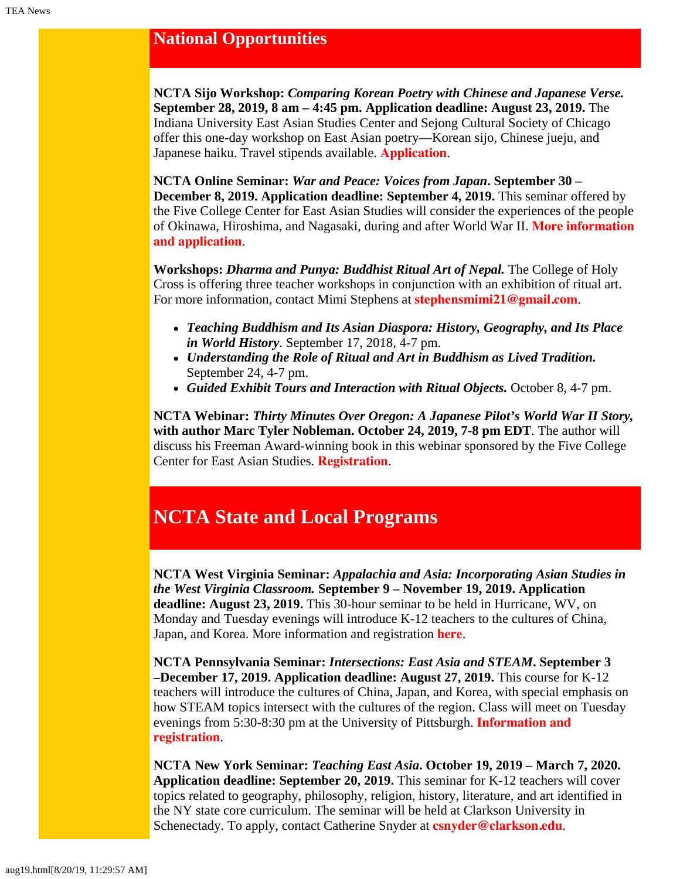## **National Opportunities**

**NCTA Sijo Workshop:** *Comparing Korean Poetry with Chinese and Japanese Verse.* **September 28, 2019, 8 am – 4:45 pm. Application deadline: August 23, 2019.** The Indiana University East Asian Studies Center and Sejong Cultural Society of Chicago offer this one-day workshop on East Asian poetry—Korean sijo, Chinese jueju, and Japanese haiku. Travel stipends available. **[Application](https://easc.indiana.edu/machform/view.php?id=15791)**.

**NCTA Online Seminar:** *War and Peace: Voices from Japan***. September 30 – December 8, 2019. Application deadline: September 4, 2019.** This seminar offered by the Five College Center for East Asian Studies will consider the experiences of the people of Okinawa, Hiroshima, and Nagasaki, during and after World War II. **[More information](https://www.fivecolleges.edu/fcceas/ncta/2019-national-online-war-and-peace) [and application](https://www.fivecolleges.edu/fcceas/ncta/2019-national-online-war-and-peace)**.

**Workshops:** *Dharma and Punya: Buddhist Ritual Art of Nepal.* The College of Holy Cross is offering three teacher workshops in conjunction with an exhibition of ritual art. For more information, contact Mimi Stephens at **[stephensmimi21@gmail.com](mailto:stephensmimi21@gmail.com)**.

- *Teaching Buddhism and Its Asian Diaspora: History, Geography, and Its Place in World History*. September 17, 2018, 4-7 pm.
- *Understanding the Role of Ritual and Art in Buddhism as Lived Tradition.* September 24, 4-7 pm.
- *Guided Exhibit Tours and Interaction with Ritual Objects.* October 8, 4-7 pm.

**NCTA Webinar:** *Thirty Minutes Over Oregon: A Japanese Pilot's World War II Story,* **with author Marc Tyler Nobleman. October 24, 2019, 7-8 pm EDT**. The author will discuss his Freeman Award-winning book in this webinar sponsored by the Five College Center for East Asian Studies. **[Registration](https://register.gotowebinar.com/register/3858272462319366402)**.

# <span id="page-1-0"></span>**NCTA State and Local Programs**

**NCTA West Virginia Seminar:** *Appalachia and Asia: Incorporating Asian Studies in the West Virginia Classroom.* **September 9 – November 19, 2019. Application deadline: August 23, 2019.** This 30-hour seminar to be held in Hurricane, WV, on Monday and Tuesday evenings will introduce K-12 teachers to the cultures of China, Japan, and Korea. More information and registration **[here](https://www.ucis.pitt.edu/ncta/appalachia-and-asia-incorporating-asian-studies-west-virginia-classroom)**.

**NCTA Pennsylvania Seminar:** *Intersections: East Asia and STEAM***. September 3 –December 17, 2019. Application deadline: August 27, 2019.** This course for K-12 teachers will introduce the cultures of China, Japan, and Korea, with special emphasis on how STEAM topics intersect with the cultures of the region. Class will meet on Tuesday evenings from 5:30-8:30 pm at the University of Pittsburgh. **[Information and](http://ucis.pitt.edu/ncta/sites/default/files/2019PittNCTAFlyer.pdf) [registration](http://ucis.pitt.edu/ncta/sites/default/files/2019PittNCTAFlyer.pdf)**.

**NCTA New York Seminar:** *Teaching East Asia***. October 19, 2019 – March 7, 2020. Application deadline: September 20, 2019.** This seminar for K-12 teachers will cover topics related to geography, philosophy, religion, history, literature, and art identified in the NY state core curriculum. The seminar will be held at Clarkson University in Schenectady. To apply, contact Catherine Snyder at **[csnyder@clarkson.edu](mailto:csnyder@clarkson.edu)**.